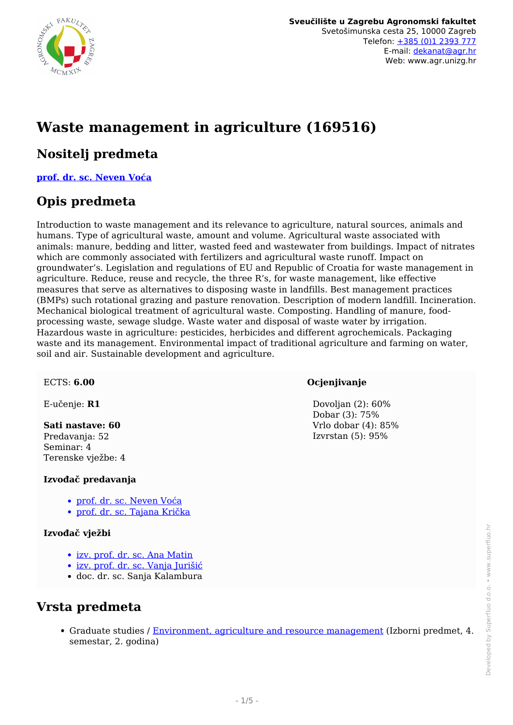

# **Waste management in agriculture (169516)**

#### **Nositelj predmeta**

**[prof. dr. sc. Neven Voća](/hr/member/95)**

### **Opis predmeta**

Introduction to waste management and its relevance to agriculture, natural sources, animals and humans. Type of agricultural waste, amount and volume. Agricultural waste associated with animals: manure, bedding and litter, wasted feed and wastewater from buildings. Impact of nitrates which are commonly associated with fertilizers and agricultural waste runoff. Impact on groundwater's. Legislation and regulations of EU and Republic of Croatia for waste management in agriculture. Reduce, reuse and recycle, the three R's, for waste management, like effective measures that serve as alternatives to disposing waste in landfills. Best management practices (BMPs) such rotational grazing and pasture renovation. Description of modern landfill. Incineration. Mechanical biological treatment of agricultural waste. Composting. Handling of manure, foodprocessing waste, sewage sludge. Waste water and disposal of waste water by irrigation. Hazardous waste in agriculture: pesticides, herbicides and different agrochemicals. Packaging waste and its management. Environmental impact of traditional agriculture and farming on water, soil and air. Sustainable development and agriculture.

#### ECTS: **6.00**

E-učenje: **R1**

#### **Sati nastave: 60**

Predavanja: 52 Seminar: 4 Terenske vježbe: 4

#### **Izvođač predavanja**

- [prof. dr. sc. Neven Voća](/hr/member/95)
- [prof. dr. sc. Tajana Krička](/hr/member/31)

#### **Izvođač vježbi**

- [izv. prof. dr. sc. Ana Matin](/hr/member/212)
- [izv. prof. dr. sc. Vanja Jurišić](/hr/member/196)
- doc. dr. sc. Sanja Kalambura

#### **Vrsta predmeta**

Graduate studies / [Environment, agriculture and resource management](/hr/study/en/3/Environment%2C+agriculture+and+resource+management) (Izborni predmet, 4. semestar, 2. godina)

#### **Ocjenjivanje**

Dovolian (2): 60% Dobar (3): 75% Vrlo dobar (4): 85% Izvrstan (5): 95%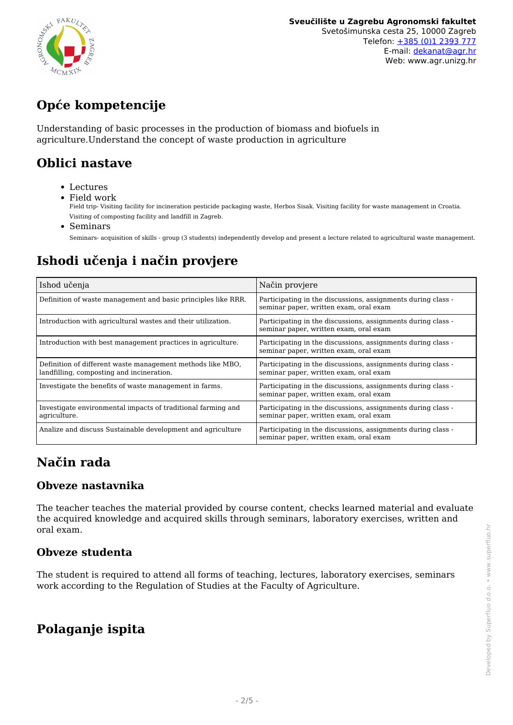

# **Opće kompetencije**

Understanding of basic processes in the production of biomass and biofuels in agriculture.Understand the concept of waste production in agriculture

### **Oblici nastave**

- Lectures
- Field work

Field trip- Visiting facility for incineration pesticide packaging waste, Herbos Sisak. Visiting facility for waste management in Croatia. Visiting of composting facility and landfill in Zagreb.

• Seminars

Seminars- acquisition of skills - group (3 students) independently develop and present a lecture related to agricultural waste management.

## **Ishodi učenja i način provjere**

| Ishod učenja                                                                                            | Način provjere                                                                                         |
|---------------------------------------------------------------------------------------------------------|--------------------------------------------------------------------------------------------------------|
| Definition of waste management and basic principles like RRR.                                           | Participating in the discussions, assignments during class -<br>seminar paper, written exam, oral exam |
| Introduction with agricultural wastes and their utilization.                                            | Participating in the discussions, assignments during class -<br>seminar paper, written exam, oral exam |
| Introduction with best management practices in agriculture.                                             | Participating in the discussions, assignments during class -<br>seminar paper, written exam, oral exam |
| Definition of different waste management methods like MBO,<br>landfilling, composting and incineration. | Participating in the discussions, assignments during class -<br>seminar paper, written exam, oral exam |
| Investigate the benefits of waste management in farms.                                                  | Participating in the discussions, assignments during class -<br>seminar paper, written exam, oral exam |
| Investigate environmental impacts of traditional farming and<br>agriculture.                            | Participating in the discussions, assignments during class -<br>seminar paper, written exam, oral exam |
| Analize and discuss Sustainable development and agriculture                                             | Participating in the discussions, assignments during class -<br>seminar paper, written exam, oral exam |

## **Način rada**

#### **Obveze nastavnika**

The teacher teaches the material provided by course content, checks learned material and evaluate the acquired knowledge and acquired skills through seminars, laboratory exercises, written and oral exam.

#### **Obveze studenta**

The student is required to attend all forms of teaching, lectures, laboratory exercises, seminars work according to the Regulation of Studies at the Faculty of Agriculture.

## **Polaganje ispita**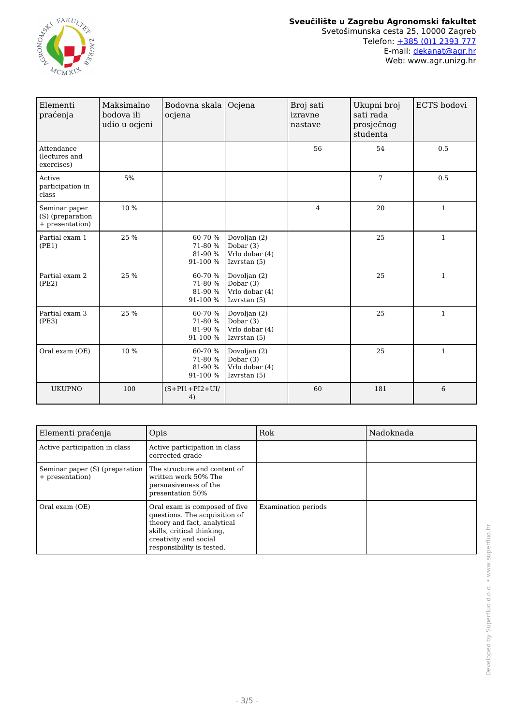

| Elementi<br>praćenja                                 | Maksimalno<br>bodova ili<br>udio u ocjeni | Bodovna skala<br>ocjena                   | Ocjena                                                          | Broj sati<br>izravne<br>nastave | Ukupni broj<br>sati rada<br>prosječnog<br>studenta | <b>ECTS</b> bodovi |
|------------------------------------------------------|-------------------------------------------|-------------------------------------------|-----------------------------------------------------------------|---------------------------------|----------------------------------------------------|--------------------|
| Attendance<br>(lectures and<br>exercises)            |                                           |                                           |                                                                 | 56                              | 54                                                 | 0.5                |
| Active<br>participation in<br>class                  | 5%                                        |                                           |                                                                 |                                 | 7                                                  | 0.5                |
| Seminar paper<br>(S) (preparation<br>+ presentation) | 10 %                                      |                                           |                                                                 | $\overline{4}$                  | 20                                                 | $\mathbf{1}$       |
| Partial exam 1<br>(PE1)                              | 25 %                                      | 60-70 %<br>71-80 %<br>81-90 %<br>91-100 % | Dovoljan (2)<br>Dobar (3)<br>Vrlo dobar (4)<br>Izvrstan $(5)$   |                                 | 25                                                 | $\mathbf{1}$       |
| Partial exam 2<br>(PE2)                              | 25 %                                      | 60-70 %<br>71-80 %<br>81-90 %<br>91-100 % | Dovoljan (2)<br>Dobar $(3)$<br>Vrlo dobar (4)<br>Izvrstan $(5)$ |                                 | 25                                                 | $\mathbf{1}$       |
| Partial exam 3<br>(PE3)                              | 25 %                                      | 60-70 %<br>71-80 %<br>81-90 %<br>91-100 % | Dovoljan (2)<br>Dobar (3)<br>Vrlo dobar (4)<br>Izvrstan $(5)$   |                                 | 25                                                 | $\mathbf{1}$       |
| Oral exam (OE)                                       | 10 %                                      | 60-70 %<br>71-80 %<br>81-90 %<br>91-100 % | Dovoljan (2)<br>Dobar (3)<br>Vrlo dobar (4)<br>Izvrstan (5)     |                                 | 25                                                 | $\mathbf{1}$       |
| <b>UKUPNO</b>                                        | 100                                       | $(S+PI1+PI2+UI/$<br>4)                    |                                                                 | 60                              | 181                                                | 6                  |

| Elementi praćenja                                 | Opis                                                                                                                                                                              | Rok                        | Nadoknada |
|---------------------------------------------------|-----------------------------------------------------------------------------------------------------------------------------------------------------------------------------------|----------------------------|-----------|
| Active participation in class                     | Active participation in class<br>corrected grade                                                                                                                                  |                            |           |
| Seminar paper (S) (preparation<br>+ presentation) | The structure and content of<br>written work 50% The<br>persuasiveness of the<br>presentation 50%                                                                                 |                            |           |
| Oral exam (OE)                                    | Oral exam is composed of five<br>questions. The acquisition of<br>theory and fact, analytical<br>skills, critical thinking,<br>creativity and social<br>responsibility is tested. | <b>Examination periods</b> |           |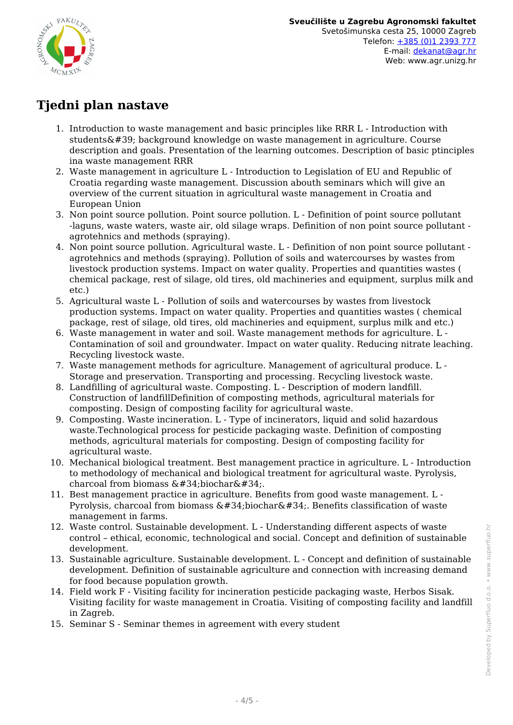

## **Tjedni plan nastave**

- 1. Introduction to waste management and basic principles like RRR L Introduction with students' background knowledge on waste management in agriculture. Course description and goals. Presentation of the learning outcomes. Description of basic ptinciples ina waste management RRR
- 2. Waste management in agriculture L Introduction to Legislation of EU and Republic of Croatia regarding waste management. Discussion abouth seminars which will give an overview of the current situation in agricultural waste management in Croatia and European Union
- 3. Non point source pollution. Point source pollution. L Definition of point source pollutant -laguns, waste waters, waste air, old silage wraps. Definition of non point source pollutant agrotehnics and methods (spraying).
- 4. Non point source pollution. Agricultural waste. L Definition of non point source pollutant agrotehnics and methods (spraying). Pollution of soils and watercourses by wastes from livestock production systems. Impact on water quality. Properties and quantities wastes ( chemical package, rest of silage, old tires, old machineries and equipment, surplus milk and etc.)
- 5. Agricultural waste L Pollution of soils and watercourses by wastes from livestock production systems. Impact on water quality. Properties and quantities wastes ( chemical package, rest of silage, old tires, old machineries and equipment, surplus milk and etc.)
- 6. Waste management in water and soil. Waste management methods for agriculture. L Contamination of soil and groundwater. Impact on water quality. Reducing nitrate leaching. Recycling livestock waste.
- 7. Waste management methods for agriculture. Management of agricultural produce. L Storage and preservation. Transporting and processing. Recycling livestock waste.
- 8. Landfilling of agricultural waste. Composting. L Description of modern landfill. Construction of landfillDefinition of composting methods, agricultural materials for composting. Design of composting facility for agricultural waste.
- 9. Composting. Waste incineration. L Type of incinerators, liquid and solid hazardous waste.Technological process for pesticide packaging waste. Definition of composting methods, agricultural materials for composting. Design of composting facility for agricultural waste.
- 10. Mechanical biological treatment. Best management practice in agriculture. L Introduction to methodology of mechanical and biological treatment for agricultural waste. Pyrolysis, charcoal from biomass  $&\#34$ ; biochar $&\#34$ ;.
- 11. Best management practice in agriculture. Benefits from good waste management. L Pyrolysis, charcoal from biomass  $\&\#34$ ; biochar $&\#34$ ;. Benefits classification of waste management in farms.
- 12. Waste control. Sustainable development. L Understanding different aspects of waste control – ethical, economic, technological and social. Concept and definition of sustainable development.
- 13. Sustainable agriculture. Sustainable development. L Concept and definition of sustainable development. Definition of sustainable agriculture and connection with increasing demand for food because population growth.
- 14. Field work F Visiting facility for incineration pesticide packaging waste, Herbos Sisak. Visiting facility for waste management in Croatia. Visiting of composting facility and landfill in Zagreb.
- 15. Seminar S Seminar themes in agreement with every student